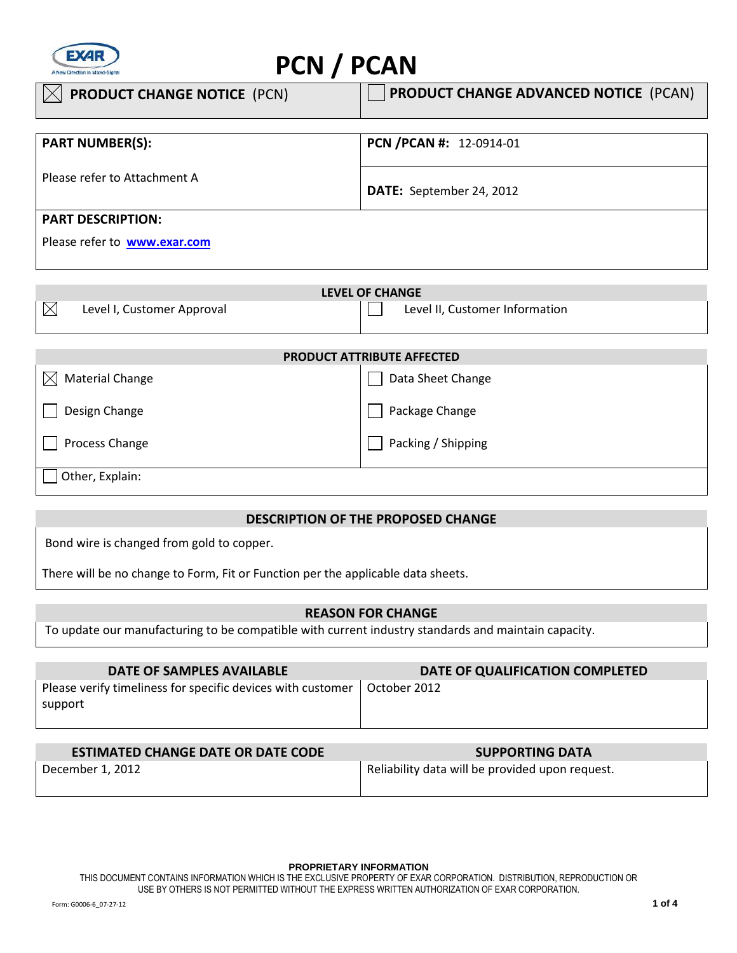

# **PCN / PCAN**

| <b>PRODUCT CHANGE NOTICE (PCN)</b>  | <b>PRODUCT CHANGE ADVANCED NOTICE (PCAN)</b> |
|-------------------------------------|----------------------------------------------|
|                                     |                                              |
| <b>PART NUMBER(S):</b>              | PCN / PCAN #: 12-0914-01                     |
|                                     |                                              |
| Please refer to Attachment A        |                                              |
|                                     | DATE: September 24, 2012                     |
| <b>PART DESCRIPTION:</b>            |                                              |
|                                     |                                              |
| Please refer to <b>www.exar.com</b> |                                              |

| LEVEL OF CHANGE |                            |  |                                |  |
|-----------------|----------------------------|--|--------------------------------|--|
| ℕ               | Level I, Customer Approval |  | Level II, Customer Information |  |
|                 |                            |  |                                |  |

| <b>PRODUCT ATTRIBUTE AFFECTED</b>   |                    |  |  |
|-------------------------------------|--------------------|--|--|
| <b>Material Change</b><br>$\bowtie$ | Data Sheet Change  |  |  |
| Design Change                       | Package Change     |  |  |
| Process Change                      | Packing / Shipping |  |  |
| Other, Explain:                     |                    |  |  |

# **DESCRIPTION OF THE PROPOSED CHANGE**

Bond wire is changed from gold to copper.

There will be no change to Form, Fit or Function per the applicable data sheets.

## **REASON FOR CHANGE**

To update our manufacturing to be compatible with current industry standards and maintain capacity.

| DATE OF SAMPLES AVAILABLE                                                | DATE OF QUALIFICATION COMPLETED |
|--------------------------------------------------------------------------|---------------------------------|
| Please verify timeliness for specific devices with customer  <br>support | October 2012                    |

| <b>ESTIMATED CHANGE DATE OR DATE CODE</b> | <b>SUPPORTING DATA</b>                          |  |  |
|-------------------------------------------|-------------------------------------------------|--|--|
| December 1, 2012                          | Reliability data will be provided upon request. |  |  |

**PROPRIETARY INFORMATION**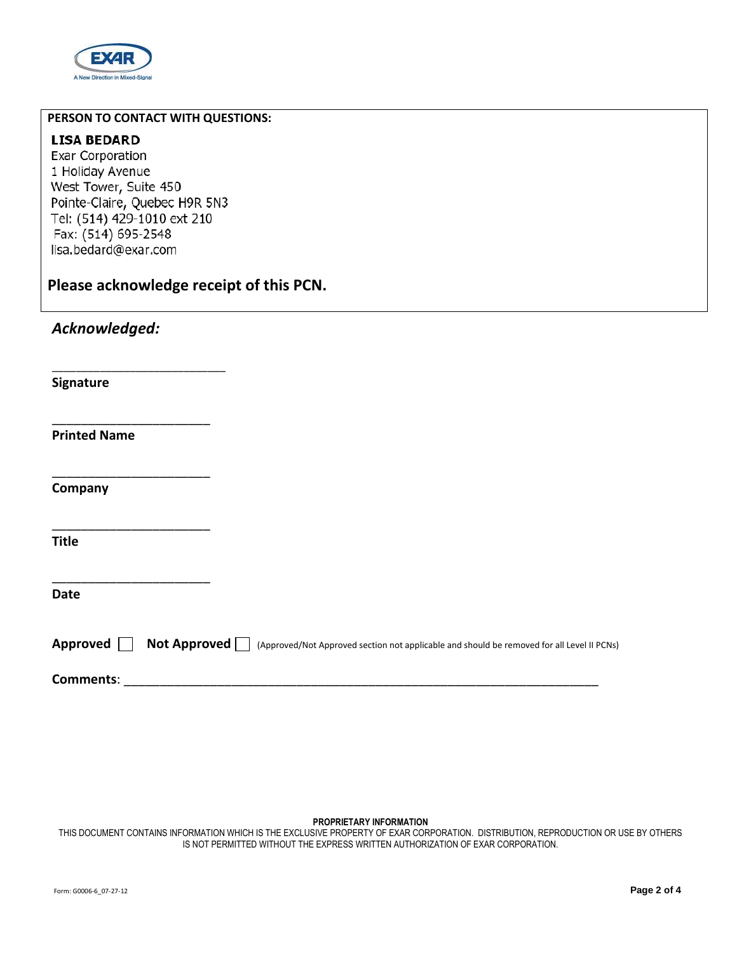

## **PERSON TO CONTACT WITH QUESTIONS:**

## **LISA BEDARD**

Exar Corporation 1 Holiday Avenue West Tower, Suite 450 Pointe-Claire, Quebec H9R 5N3 Tel: (514) 429-1010 ext 210 Fax: (514) 695-2548 lisa.bedard@exar.com

\_\_\_\_\_\_\_\_\_\_\_\_\_\_\_\_\_\_\_\_\_\_\_\_\_\_\_\_\_

\_\_\_\_\_\_\_\_\_\_\_\_\_\_\_\_\_\_\_\_\_\_

\_\_\_\_\_\_\_\_\_\_\_\_\_\_\_\_\_\_\_\_\_\_

 $\overline{\phantom{a}}$  , which is a set of the set of the set of the set of the set of the set of the set of the set of the set of the set of the set of the set of the set of the set of the set of the set of the set of the set of th

\_\_\_\_\_\_\_\_\_\_\_\_\_\_\_\_\_\_\_\_\_\_

**Please acknowledge receipt of this PCN.** 

*Acknowledged:* 

**Signature** 

**Printed Name** 

**Company** 

**Title** 

**Date** 

|  |  | Approved $\Box$ Not Approved $\Box$ (Approved/Not Approved section not applicable and should be removed for all Level II PCNs) |
|--|--|--------------------------------------------------------------------------------------------------------------------------------|
|--|--|--------------------------------------------------------------------------------------------------------------------------------|

**Comments:** 

## **PROPRIETARY INFORMATION**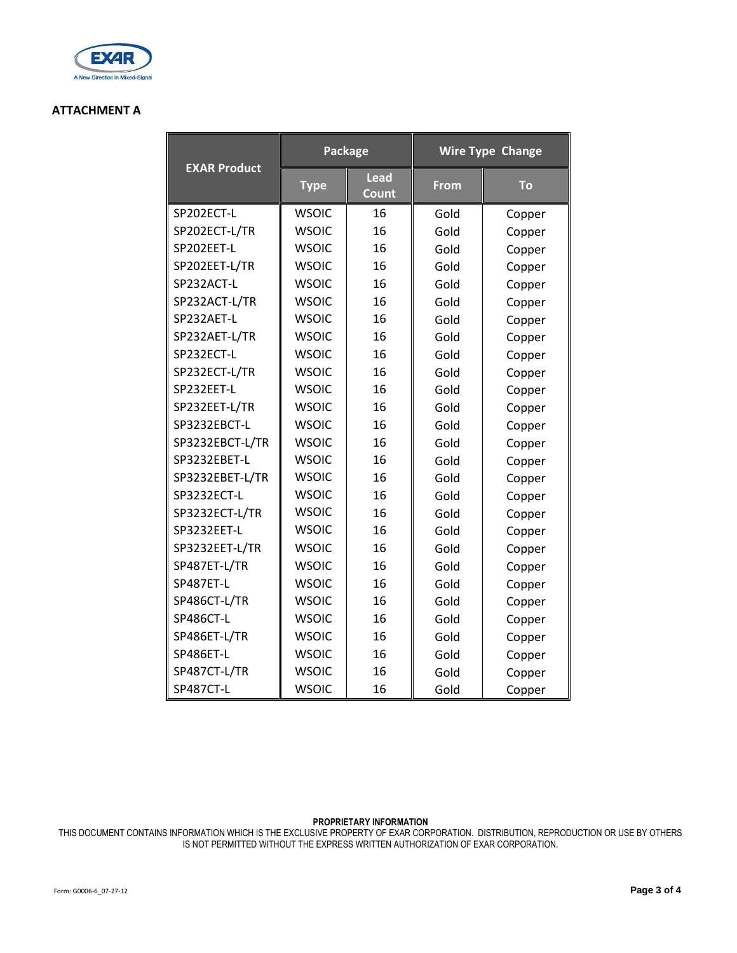

## **ATTACHMENT A**

|                     | Package      |                             | <b>Wire Type Change</b> |        |
|---------------------|--------------|-----------------------------|-------------------------|--------|
| <b>EXAR Product</b> | <b>Type</b>  | <b>Lead</b><br><b>Count</b> | <b>From</b>             | To     |
| SP202ECT-L          | <b>WSOIC</b> | 16                          | Gold                    | Copper |
| SP202ECT-L/TR       | <b>WSOIC</b> | 16                          | Gold                    | Copper |
| SP202EET-L          | <b>WSOIC</b> | 16                          | Gold                    | Copper |
| SP202EET-L/TR       | <b>WSOIC</b> | 16                          | Gold                    | Copper |
| SP232ACT-L          | <b>WSOIC</b> | 16                          | Gold                    | Copper |
| SP232ACT-L/TR       | <b>WSOIC</b> | 16                          | Gold                    | Copper |
| SP232AET-L          | <b>WSOIC</b> | 16                          | Gold                    | Copper |
| SP232AET-L/TR       | <b>WSOIC</b> | 16                          | Gold                    | Copper |
| SP232ECT-L          | <b>WSOIC</b> | 16                          | Gold                    | Copper |
| SP232ECT-L/TR       | <b>WSOIC</b> | 16                          | Gold                    | Copper |
| SP232EET-L          | <b>WSOIC</b> | 16                          | Gold                    | Copper |
| SP232EET-L/TR       | <b>WSOIC</b> | 16                          | Gold                    | Copper |
| SP3232EBCT-L        | <b>WSOIC</b> | 16                          | Gold                    | Copper |
| SP3232EBCT-L/TR     | <b>WSOIC</b> | 16                          | Gold                    | Copper |
| SP3232EBET-L        | <b>WSOIC</b> | 16                          | Gold                    | Copper |
| SP3232EBET-L/TR     | <b>WSOIC</b> | 16                          | Gold                    | Copper |
| SP3232ECT-L         | <b>WSOIC</b> | 16                          | Gold                    | Copper |
| SP3232ECT-L/TR      | <b>WSOIC</b> | 16                          | Gold                    | Copper |
| SP3232EET-L         | <b>WSOIC</b> | 16                          | Gold                    | Copper |
| SP3232EET-L/TR      | <b>WSOIC</b> | 16                          | Gold                    | Copper |
| SP487ET-L/TR        | <b>WSOIC</b> | 16                          | Gold                    | Copper |
| SP487ET-L           | <b>WSOIC</b> | 16                          | Gold                    | Copper |
| SP486CT-L/TR        | <b>WSOIC</b> | 16                          | Gold                    | Copper |
| SP486CT-L           | <b>WSOIC</b> | 16                          | Gold                    | Copper |
| SP486ET-L/TR        | <b>WSOIC</b> | 16                          | Gold                    | Copper |
| SP486ET-L           | <b>WSOIC</b> | 16                          | Gold                    | Copper |
| SP487CT-L/TR        | <b>WSOIC</b> | 16                          | Gold                    | Copper |
| SP487CT-L           | <b>WSOIC</b> | 16                          | Gold                    | Copper |

### **PROPRIETARY INFORMATION**